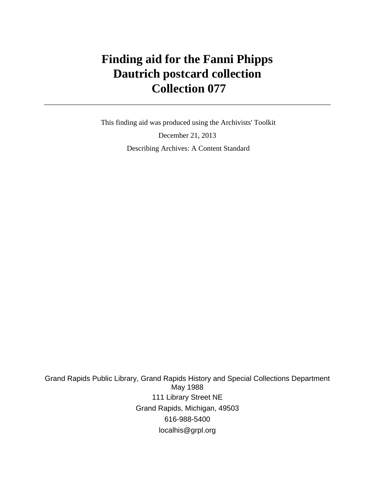# **Finding aid for the Fanni Phipps Dautrich postcard collection Collection 077**

 This finding aid was produced using the Archivists' Toolkit December 21, 2013 Describing Archives: A Content Standard

Grand Rapids Public Library, Grand Rapids History and Special Collections Department May 1988 111 Library Street NE Grand Rapids, Michigan, 49503 616-988-5400 localhis@grpl.org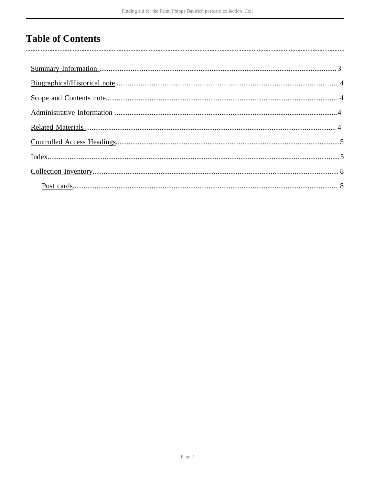## **Table of Contents**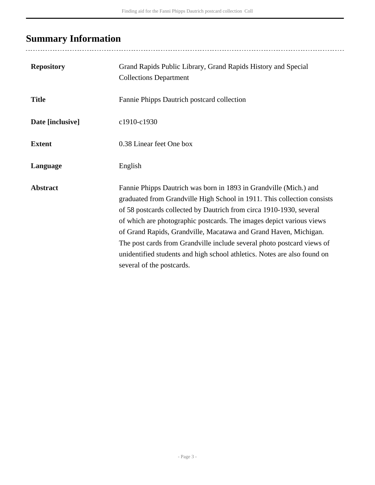# <span id="page-2-0"></span>**Summary Information**

| <b>Repository</b> | Grand Rapids Public Library, Grand Rapids History and Special<br><b>Collections Department</b>                                                                                                                                                                                                                                                                                                                                                                                                                                                     |
|-------------------|----------------------------------------------------------------------------------------------------------------------------------------------------------------------------------------------------------------------------------------------------------------------------------------------------------------------------------------------------------------------------------------------------------------------------------------------------------------------------------------------------------------------------------------------------|
| <b>Title</b>      | Fannie Phipps Dautrich postcard collection                                                                                                                                                                                                                                                                                                                                                                                                                                                                                                         |
| Date [inclusive]  | c1910-c1930                                                                                                                                                                                                                                                                                                                                                                                                                                                                                                                                        |
| <b>Extent</b>     | 0.38 Linear feet One box                                                                                                                                                                                                                                                                                                                                                                                                                                                                                                                           |
| Language          | English                                                                                                                                                                                                                                                                                                                                                                                                                                                                                                                                            |
| <b>Abstract</b>   | Fannie Phipps Dautrich was born in 1893 in Grandville (Mich.) and<br>graduated from Grandville High School in 1911. This collection consists<br>of 58 postcards collected by Dautrich from circa 1910-1930, several<br>of which are photographic postcards. The images depict various views<br>of Grand Rapids, Grandville, Macatawa and Grand Haven, Michigan.<br>The post cards from Grandville include several photo postcard views of<br>unidentified students and high school athletics. Notes are also found on<br>several of the postcards. |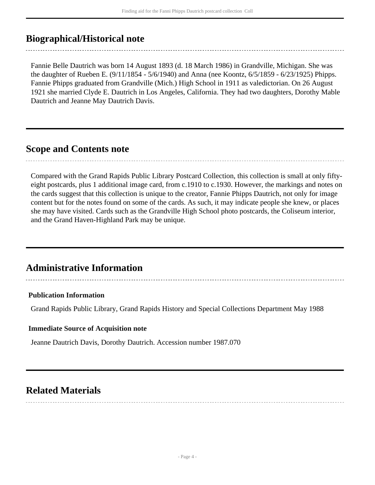### <span id="page-3-0"></span>**Biographical/Historical note**

Fannie Belle Dautrich was born 14 August 1893 (d. 18 March 1986) in Grandville, Michigan. She was the daughter of Rueben E. (9/11/1854 - 5/6/1940) and Anna (nee Koontz, 6/5/1859 - 6/23/1925) Phipps. Fannie Phipps graduated from Grandville (Mich.) High School in 1911 as valedictorian. On 26 August 1921 she married Clyde E. Dautrich in Los Angeles, California. They had two daughters, Dorothy Mable Dautrich and Jeanne May Dautrich Davis.

### <span id="page-3-1"></span>**Scope and Contents note**

Compared with the Grand Rapids Public Library Postcard Collection, this collection is small at only fiftyeight postcards, plus 1 additional image card, from c.1910 to c.1930. However, the markings and notes on the cards suggest that this collection is unique to the creator, Fannie Phipps Dautrich, not only for image content but for the notes found on some of the cards. As such, it may indicate people she knew, or places she may have visited. Cards such as the Grandville High School photo postcards, the Coliseum interior, and the Grand Haven-Highland Park may be unique.

### <span id="page-3-2"></span>**Administrative Information**

### **Publication Information**

Grand Rapids Public Library, Grand Rapids History and Special Collections Department May 1988

#### **Immediate Source of Acquisition note**

Jeanne Dautrich Davis, Dorothy Dautrich. Accession number 1987.070

### <span id="page-3-3"></span>**Related Materials**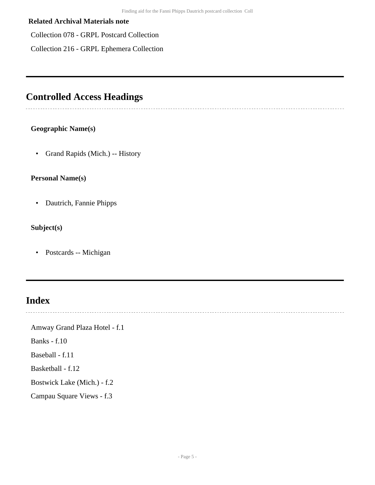#### **Related Archival Materials note**

Collection 078 - GRPL Postcard Collection

Collection 216 - GRPL Ephemera Collection

## <span id="page-4-0"></span>**Controlled Access Headings**

### **Geographic Name(s)**

• Grand Rapids (Mich.) -- History

#### **Personal Name(s)**

• Dautrich, Fannie Phipps

### **Subject(s)**

• Postcards -- Michigan

## <span id="page-4-1"></span>**Index**

Amway Grand Plaza Hotel - f.1

Banks - f.10

Baseball - f.11

Basketball - f.12

Bostwick Lake (Mich.) - f.2

Campau Square Views - f.3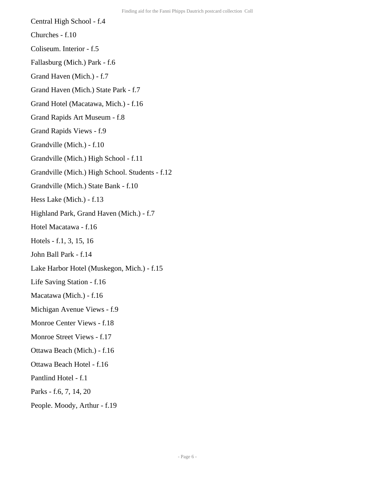- Central High School f.4
- Churches f.10
- Coliseum. Interior f.5
- Fallasburg (Mich.) Park f.6
- Grand Haven (Mich.) f.7
- Grand Haven (Mich.) State Park f.7
- Grand Hotel (Macatawa, Mich.) f.16
- Grand Rapids Art Museum f.8
- Grand Rapids Views f.9
- Grandville (Mich.) f.10
- Grandville (Mich.) High School f.11
- Grandville (Mich.) High School. Students f.12
- Grandville (Mich.) State Bank f.10
- Hess Lake (Mich.) f.13
- Highland Park, Grand Haven (Mich.) f.7
- Hotel Macatawa f.16
- Hotels f.1, 3, 15, 16
- John Ball Park f.14
- Lake Harbor Hotel (Muskegon, Mich.) f.15
- Life Saving Station f.16
- Macatawa (Mich.) f.16
- Michigan Avenue Views f.9
- Monroe Center Views f.18
- Monroe Street Views f.17
- Ottawa Beach (Mich.) f.16
- Ottawa Beach Hotel f.16
- Pantlind Hotel f.1
- Parks f.6, 7, 14, 20
- People. Moody, Arthur f.19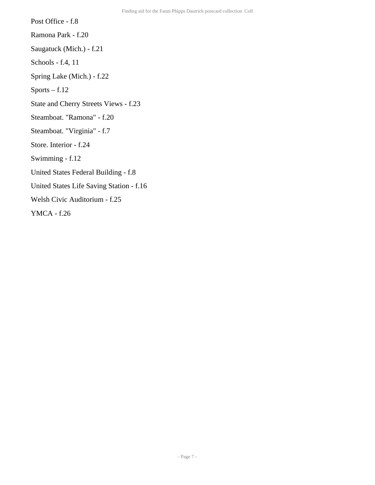Post Office - f.8 Ramona Park - f.20 Saugatuck (Mich.) - f.21 Schools - f.4, 11 Spring Lake (Mich.) - f.22 Sports – f.12 State and Cherry Streets Views - f.23 Steamboat. "Ramona" - f.20 Steamboat. "Virginia" - f.7 Store. Interior - f.24 Swimming - f.12 United States Federal Building - f.8 United States Life Saving Station - f.16 Welsh Civic Auditorium - f.25 YMCA - f.26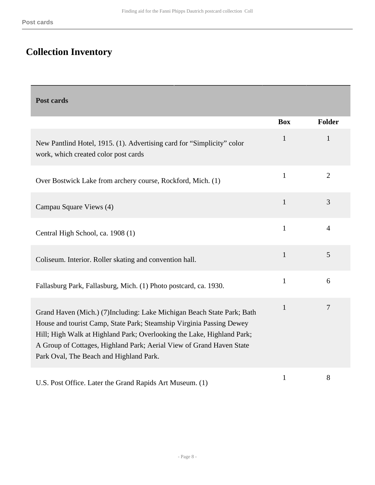Г

## <span id="page-7-0"></span>**Collection Inventory**

<span id="page-7-1"></span>

| Post cards                                                                                                                                                                                                                                                                                                                                  |              |                |
|---------------------------------------------------------------------------------------------------------------------------------------------------------------------------------------------------------------------------------------------------------------------------------------------------------------------------------------------|--------------|----------------|
|                                                                                                                                                                                                                                                                                                                                             | <b>Box</b>   | <b>Folder</b>  |
| New Pantlind Hotel, 1915. (1). Advertising card for "Simplicity" color<br>work, which created color post cards                                                                                                                                                                                                                              | $\mathbf{1}$ | $\mathbf{1}$   |
| Over Bostwick Lake from archery course, Rockford, Mich. (1)                                                                                                                                                                                                                                                                                 | $\mathbf{1}$ | $\overline{2}$ |
| Campau Square Views (4)                                                                                                                                                                                                                                                                                                                     | $\mathbf{1}$ | 3              |
| Central High School, ca. 1908 (1)                                                                                                                                                                                                                                                                                                           | $\mathbf{1}$ | $\overline{4}$ |
| Coliseum. Interior. Roller skating and convention hall.                                                                                                                                                                                                                                                                                     | $\mathbf{1}$ | 5              |
| Fallasburg Park, Fallasburg, Mich. (1) Photo postcard, ca. 1930.                                                                                                                                                                                                                                                                            | $\mathbf{1}$ | 6              |
| Grand Haven (Mich.) (7)Including: Lake Michigan Beach State Park; Bath<br>House and tourist Camp, State Park; Steamship Virginia Passing Dewey<br>Hill; High Walk at Highland Park; Overlooking the Lake, Highland Park;<br>A Group of Cottages, Highland Park; Aerial View of Grand Haven State<br>Park Oval, The Beach and Highland Park. | $\mathbf{1}$ | $\overline{7}$ |
| U.S. Post Office. Later the Grand Rapids Art Museum. (1)                                                                                                                                                                                                                                                                                    | $\mathbf{1}$ | 8              |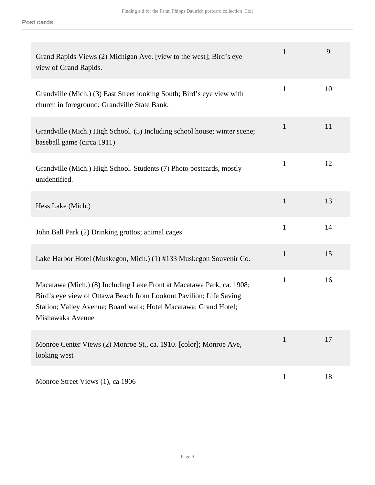| Grand Rapids Views (2) Michigan Ave. [view to the west]; Bird's eye<br>view of Grand Rapids.                                                                                                                                        | $\mathbf{1}$ | 9  |
|-------------------------------------------------------------------------------------------------------------------------------------------------------------------------------------------------------------------------------------|--------------|----|
| Grandville (Mich.) (3) East Street looking South; Bird's eye view with<br>church in foreground; Grandville State Bank.                                                                                                              | 1            | 10 |
| Grandville (Mich.) High School. (5) Including school house; winter scene;<br>baseball game (circa 1911)                                                                                                                             | $\mathbf{1}$ | 11 |
| Grandville (Mich.) High School. Students (7) Photo postcards, mostly<br>unidentified.                                                                                                                                               | $\mathbf{1}$ | 12 |
| Hess Lake (Mich.)                                                                                                                                                                                                                   | $\mathbf{1}$ | 13 |
| John Ball Park (2) Drinking grottos; animal cages                                                                                                                                                                                   | $\mathbf{1}$ | 14 |
| Lake Harbor Hotel (Muskegon, Mich.) (1) #133 Muskegon Souvenir Co.                                                                                                                                                                  | $\mathbf{1}$ | 15 |
| Macatawa (Mich.) (8) Including Lake Front at Macatawa Park, ca. 1908;<br>Bird's eye view of Ottawa Beach from Lookout Pavilion; Life Saving<br>Station; Valley Avenue; Board walk; Hotel Macatawa; Grand Hotel;<br>Mishawaka Avenue | 1            | 16 |
| Monroe Center Views (2) Monroe St., ca. 1910. [color]; Monroe Ave,<br>looking west                                                                                                                                                  | 1            | 17 |
| Monroe Street Views (1), ca 1906                                                                                                                                                                                                    | $\mathbf{1}$ | 18 |